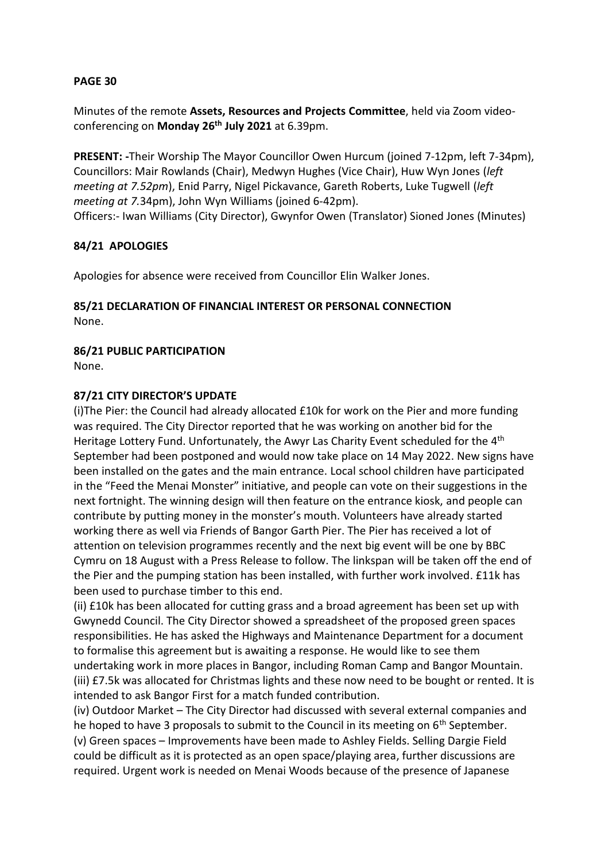#### **PAGE 30**

Minutes of the remote **Assets, Resources and Projects Committee**, held via Zoom videoconferencing on **Monday 26th July 2021** at 6.39pm.

**PRESENT: -**Their Worship The Mayor Councillor Owen Hurcum (joined 7-12pm, left 7-34pm), Councillors: Mair Rowlands (Chair), Medwyn Hughes (Vice Chair), Huw Wyn Jones (*left meeting at 7.52pm*), Enid Parry, Nigel Pickavance, Gareth Roberts, Luke Tugwell (*left meeting at 7.*34pm), John Wyn Williams (joined 6-42pm). Officers:- Iwan Williams (City Director), Gwynfor Owen (Translator) Sioned Jones (Minutes)

#### **84/21 APOLOGIES**

Apologies for absence were received from Councillor Elin Walker Jones.

#### **85/21 DECLARATION OF FINANCIAL INTEREST OR PERSONAL CONNECTION** None.

#### **86/21 PUBLIC PARTICIPATION**

None.

#### **87/21 CITY DIRECTOR'S UPDATE**

(i)The Pier: the Council had already allocated £10k for work on the Pier and more funding was required. The City Director reported that he was working on another bid for the Heritage Lottery Fund. Unfortunately, the Awyr Las Charity Event scheduled for the 4<sup>th</sup> September had been postponed and would now take place on 14 May 2022. New signs have been installed on the gates and the main entrance. Local school children have participated in the "Feed the Menai Monster" initiative, and people can vote on their suggestions in the next fortnight. The winning design will then feature on the entrance kiosk, and people can contribute by putting money in the monster's mouth. Volunteers have already started working there as well via Friends of Bangor Garth Pier. The Pier has received a lot of attention on television programmes recently and the next big event will be one by BBC Cymru on 18 August with a Press Release to follow. The linkspan will be taken off the end of the Pier and the pumping station has been installed, with further work involved. £11k has been used to purchase timber to this end.

(ii) £10k has been allocated for cutting grass and a broad agreement has been set up with Gwynedd Council. The City Director showed a spreadsheet of the proposed green spaces responsibilities. He has asked the Highways and Maintenance Department for a document to formalise this agreement but is awaiting a response. He would like to see them undertaking work in more places in Bangor, including Roman Camp and Bangor Mountain. (iii) £7.5k was allocated for Christmas lights and these now need to be bought or rented. It is intended to ask Bangor First for a match funded contribution.

(iv) Outdoor Market – The City Director had discussed with several external companies and he hoped to have 3 proposals to submit to the Council in its meeting on  $6<sup>th</sup>$  September. (v) Green spaces – Improvements have been made to Ashley Fields. Selling Dargie Field could be difficult as it is protected as an open space/playing area, further discussions are required. Urgent work is needed on Menai Woods because of the presence of Japanese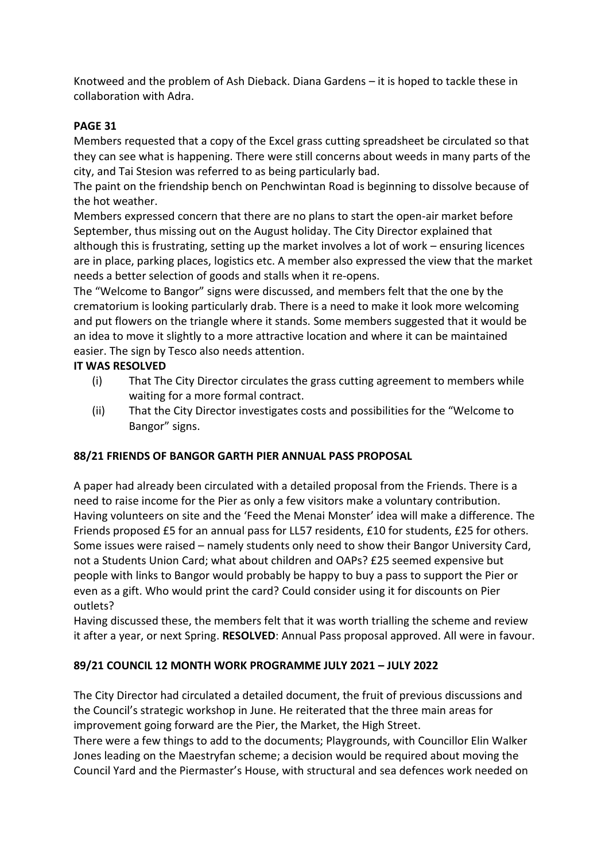Knotweed and the problem of Ash Dieback. Diana Gardens – it is hoped to tackle these in collaboration with Adra.

# **PAGE 31**

Members requested that a copy of the Excel grass cutting spreadsheet be circulated so that they can see what is happening. There were still concerns about weeds in many parts of the city, and Tai Stesion was referred to as being particularly bad.

The paint on the friendship bench on Penchwintan Road is beginning to dissolve because of the hot weather.

Members expressed concern that there are no plans to start the open-air market before September, thus missing out on the August holiday. The City Director explained that although this is frustrating, setting up the market involves a lot of work – ensuring licences are in place, parking places, logistics etc. A member also expressed the view that the market needs a better selection of goods and stalls when it re-opens.

The "Welcome to Bangor" signs were discussed, and members felt that the one by the crematorium is looking particularly drab. There is a need to make it look more welcoming and put flowers on the triangle where it stands. Some members suggested that it would be an idea to move it slightly to a more attractive location and where it can be maintained easier. The sign by Tesco also needs attention.

## **IT WAS RESOLVED**

- (i) That The City Director circulates the grass cutting agreement to members while waiting for a more formal contract.
- (ii) That the City Director investigates costs and possibilities for the "Welcome to Bangor" signs.

## **88/21 FRIENDS OF BANGOR GARTH PIER ANNUAL PASS PROPOSAL**

A paper had already been circulated with a detailed proposal from the Friends. There is a need to raise income for the Pier as only a few visitors make a voluntary contribution. Having volunteers on site and the 'Feed the Menai Monster' idea will make a difference. The Friends proposed £5 for an annual pass for LL57 residents, £10 for students, £25 for others. Some issues were raised – namely students only need to show their Bangor University Card, not a Students Union Card; what about children and OAPs? £25 seemed expensive but people with links to Bangor would probably be happy to buy a pass to support the Pier or even as a gift. Who would print the card? Could consider using it for discounts on Pier outlets?

Having discussed these, the members felt that it was worth trialling the scheme and review it after a year, or next Spring. **RESOLVED**: Annual Pass proposal approved. All were in favour.

## **89/21 COUNCIL 12 MONTH WORK PROGRAMME JULY 2021 – JULY 2022**

The City Director had circulated a detailed document, the fruit of previous discussions and the Council's strategic workshop in June. He reiterated that the three main areas for improvement going forward are the Pier, the Market, the High Street.

There were a few things to add to the documents; Playgrounds, with Councillor Elin Walker Jones leading on the Maestryfan scheme; a decision would be required about moving the Council Yard and the Piermaster's House, with structural and sea defences work needed on